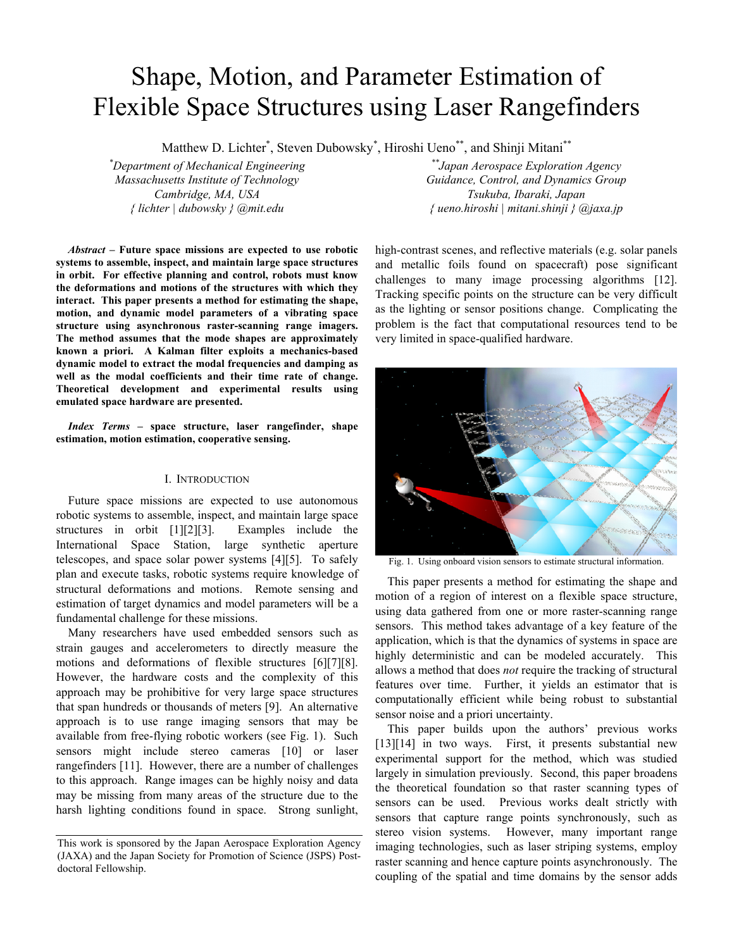# Shape, Motion, and Parameter Estimation of Flexible Space Structures using Laser Rangefinders

Matthew D. Lichter<sup>\*</sup>, Steven Dubowsky<sup>\*</sup>, Hiroshi Ueno<sup>\*\*</sup>, and Shinji Mitani<sup>\*\*</sup>

*\* Department of Mechanical Engineering Massachusetts Institute of Technology Cambridge, MA, USA { lichter | dubowsky } @mit.edu* 

*Abstract –* **Future space missions are expected to use robotic systems to assemble, inspect, and maintain large space structures in orbit. For effective planning and control, robots must know the deformations and motions of the structures with which they interact. This paper presents a method for estimating the shape, motion, and dynamic model parameters of a vibrating space structure using asynchronous raster-scanning range imagers. The method assumes that the mode shapes are approximately known a priori. A Kalman filter exploits a mechanics-based dynamic model to extract the modal frequencies and damping as well as the modal coefficients and their time rate of change. Theoretical development and experimental results using emulated space hardware are presented.**

*Index Terms –* **space structure, laser rangefinder, shape estimation, motion estimation, cooperative sensing.**

# I. INTRODUCTION

Future space missions are expected to use autonomous robotic systems to assemble, inspect, and maintain large space structures in orbit [1][2][3]. Examples include the International Space Station, large synthetic aperture telescopes, and space solar power systems [4][5]. To safely plan and execute tasks, robotic systems require knowledge of structural deformations and motions. Remote sensing and estimation of target dynamics and model parameters will be a fundamental challenge for these missions.

Many researchers have used embedded sensors such as strain gauges and accelerometers to directly measure the motions and deformations of flexible structures [6][7][8]. However, the hardware costs and the complexity of this approach may be prohibitive for very large space structures that span hundreds or thousands of meters [9]. An alternative approach is to use range imaging sensors that may be available from free-flying robotic workers (see Fig. 1). Such sensors might include stereo cameras [10] or laser rangefinders [11]. However, there are a number of challenges to this approach. Range images can be highly noisy and data may be missing from many areas of the structure due to the harsh lighting conditions found in space. Strong sunlight,

*\*\*Japan Aerospace Exploration Agency Guidance, Control, and Dynamics Group Tsukuba, Ibaraki, Japan { ueno.hiroshi | mitani.shinji } @jaxa.jp* 

high-contrast scenes, and reflective materials (e.g. solar panels and metallic foils found on spacecraft) pose significant challenges to many image processing algorithms [12]. Tracking specific points on the structure can be very difficult as the lighting or sensor positions change. Complicating the problem is the fact that computational resources tend to be very limited in space-qualified hardware.



Fig. 1. Using onboard vision sensors to estimate structural information.

This paper presents a method for estimating the shape and motion of a region of interest on a flexible space structure, using data gathered from one or more raster-scanning range sensors. This method takes advantage of a key feature of the application, which is that the dynamics of systems in space are highly deterministic and can be modeled accurately. This allows a method that does *not* require the tracking of structural features over time. Further, it yields an estimator that is computationally efficient while being robust to substantial sensor noise and a priori uncertainty.

This paper builds upon the authors' previous works [13][14] in two ways. First, it presents substantial new experimental support for the method, which was studied largely in simulation previously. Second, this paper broadens the theoretical foundation so that raster scanning types of sensors can be used. Previous works dealt strictly with sensors that capture range points synchronously, such as stereo vision systems. However, many important range imaging technologies, such as laser striping systems, employ raster scanning and hence capture points asynchronously. The coupling of the spatial and time domains by the sensor adds

This work is sponsored by the Japan Aerospace Exploration Agency (JAXA) and the Japan Society for Promotion of Science (JSPS) Postdoctoral Fellowship.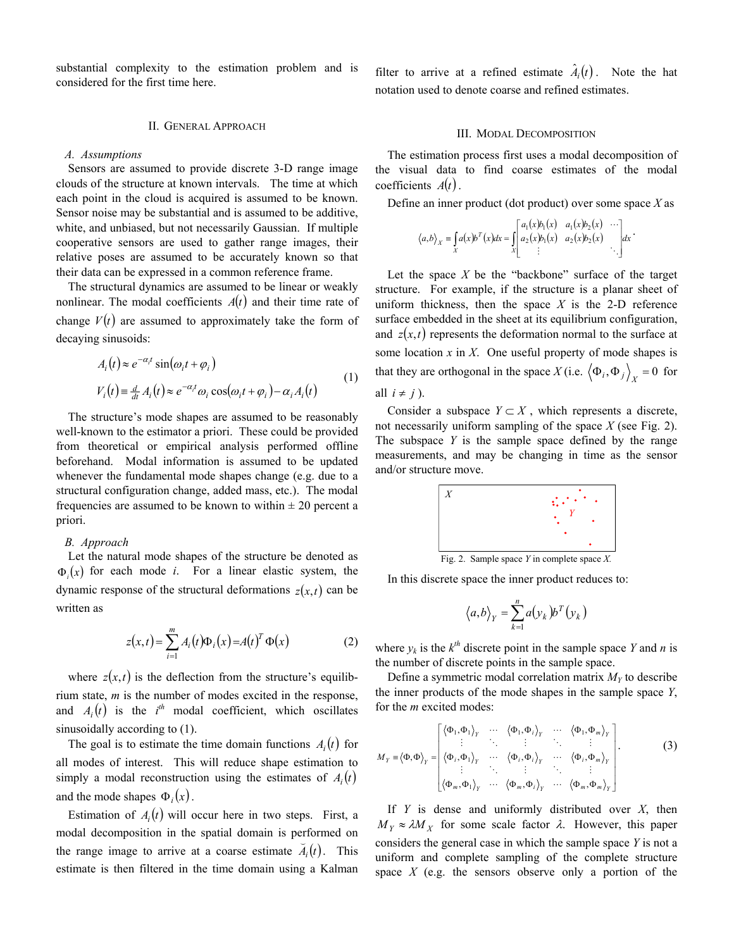substantial complexity to the estimation problem and is considered for the first time here.

# II. GENERAL APPROACH

#### *A. Assumptions*

Sensors are assumed to provide discrete 3-D range image clouds of the structure at known intervals. The time at which each point in the cloud is acquired is assumed to be known. Sensor noise may be substantial and is assumed to be additive, white, and unbiased, but not necessarily Gaussian. If multiple cooperative sensors are used to gather range images, their relative poses are assumed to be accurately known so that their data can be expressed in a common reference frame.

The structural dynamics are assumed to be linear or weakly nonlinear. The modal coefficients  $A(t)$  and their time rate of change  $V(t)$  are assumed to approximately take the form of decaying sinusoids:

$$
A_i(t) \approx e^{-\alpha_i t} \sin(\omega_i t + \varphi_i)
$$
  
\n
$$
V_i(t) \equiv \frac{d}{dt} A_i(t) \approx e^{-\alpha_i t} \omega_i \cos(\omega_i t + \varphi_i) - \alpha_i A_i(t)
$$
\n(1)

The structure's mode shapes are assumed to be reasonably well-known to the estimator a priori. These could be provided from theoretical or empirical analysis performed offline beforehand. Modal information is assumed to be updated whenever the fundamental mode shapes change (e.g. due to a structural configuration change, added mass, etc.). The modal frequencies are assumed to be known to within  $\pm 20$  percent a priori.

#### *B. Approach*

Let the natural mode shapes of the structure be denoted as  $\Phi(x)$  for each mode *i*. For a linear elastic system, the dynamic response of the structural deformations  $z(x,t)$  can be written as

$$
z(x,t) = \sum_{i=1}^{m} A_i(t) \Phi_i(x) = A(t)^T \Phi(x)
$$
 (2)

where  $z(x,t)$  is the deflection from the structure's equilibrium state, *m* is the number of modes excited in the response, and  $A_i(t)$  is the  $i^{th}$  modal coefficient, which oscillates sinusoidally according to (1).

The goal is to estimate the time domain functions  $A_i(t)$  for all modes of interest. This will reduce shape estimation to simply a modal reconstruction using the estimates of  $A_i(t)$ and the mode shapes  $\Phi_i(x)$ .

Estimation of  $A_i(t)$  will occur here in two steps. First, a modal decomposition in the spatial domain is performed on the range image to arrive at a coarse estimate  $\overline{A}_i(t)$ . This estimate is then filtered in the time domain using a Kalman

filter to arrive at a refined estimate  $\hat{A}_i(t)$ . Note the hat notation used to denote coarse and refined estimates.

### III. MODAL DECOMPOSITION

The estimation process first uses a modal decomposition of the visual data to find coarse estimates of the modal coefficients  $A(t)$ .

Define an inner product (dot product) over some space *X* as

$$
\langle a,b\rangle_{X} = \int_{X} a(x)b^{T}(x)dx = \int_{X} \begin{bmatrix} a_{1}(x)b_{1}(x) & a_{1}(x)b_{2}(x) & \cdots \\ a_{2}(x)b_{1}(x) & a_{2}(x)b_{2}(x) & \cdots \\ \vdots & \vdots & \ddots \end{bmatrix} dx
$$

Let the space *X* be the "backbone" surface of the target structure. For example, if the structure is a planar sheet of uniform thickness, then the space  $X$  is the 2-D reference surface embedded in the sheet at its equilibrium configuration, and  $z(x,t)$  represents the deformation normal to the surface at some location *x* in *X*. One useful property of mode shapes is that they are orthogonal in the space *X* (i.e.  $\langle \Phi_i, \Phi_j \rangle_X = 0$  for all  $i \neq j$ ).

Consider a subspace  $Y \subset X$ , which represents a discrete, not necessarily uniform sampling of the space *X* (see Fig. 2). The subspace *Y* is the sample space defined by the range measurements, and may be changing in time as the sensor and/or structure move.



Fig. 2. Sample space *Y* in complete space *X.*

In this discrete space the inner product reduces to:

$$
\langle a,b\rangle_Y = \sum_{k=1}^n a(y_k) b^T(y_k)
$$

where  $y_k$  is the  $k^{th}$  discrete point in the sample space *Y* and *n* is the number of discrete points in the sample space.

Define a symmetric modal correlation matrix  $M_Y$  to describe the inner products of the mode shapes in the sample space *Y*, for the *m* excited modes:

$$
M_{Y} = \langle \Phi, \Phi \rangle_{Y} = \begin{bmatrix} \langle \Phi_{1}, \Phi_{1} \rangle_{Y} & \cdots & \langle \Phi_{1}, \Phi_{n} \rangle_{Y} & \cdots & \langle \Phi_{1}, \Phi_{m} \rangle_{Y} \\ \vdots & \ddots & \vdots & \ddots & \vdots \\ \langle \Phi_{i}, \Phi_{1} \rangle_{Y} & \cdots & \langle \Phi_{i}, \Phi_{i} \rangle_{Y} & \cdots & \langle \Phi_{i}, \Phi_{m} \rangle_{Y} \\ \vdots & \ddots & \vdots & \ddots & \vdots \\ \langle \Phi_{m}, \Phi_{1} \rangle_{Y} & \cdots & \langle \Phi_{m}, \Phi_{i} \rangle_{Y} & \cdots & \langle \Phi_{m}, \Phi_{m} \rangle_{Y} \end{bmatrix}.
$$
 (3)

If *Y* is dense and uniformly distributed over *X*, then  $M_Y \approx \lambda M_Y$  for some scale factor  $\lambda$ . However, this paper considers the general case in which the sample space *Y* is not a uniform and complete sampling of the complete structure space *X* (e.g. the sensors observe only a portion of the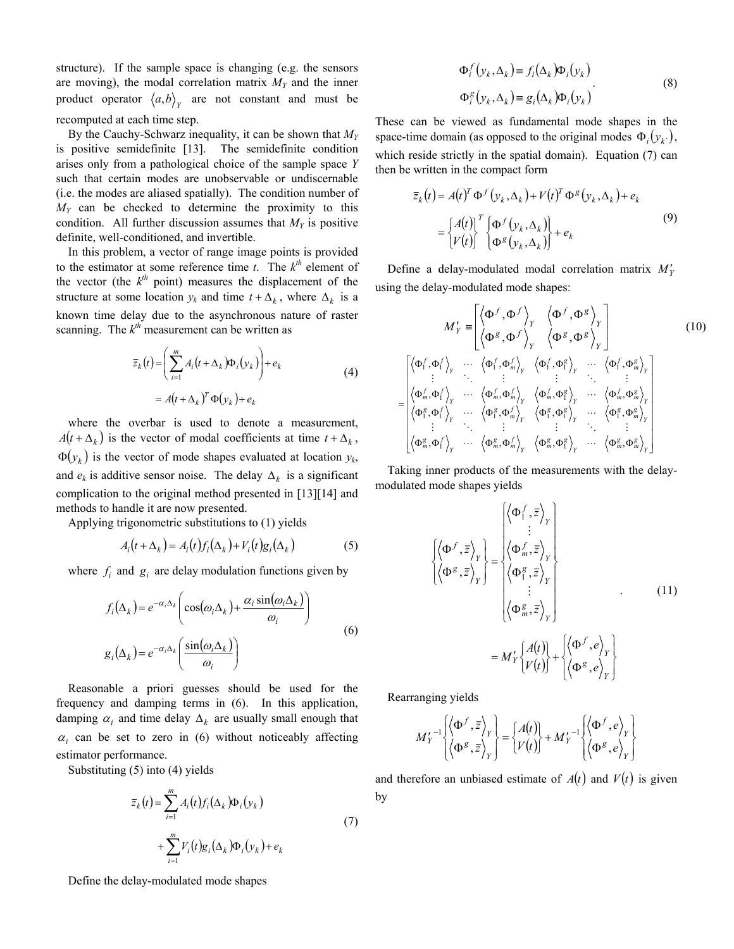structure). If the sample space is changing (e.g. the sensors are moving), the modal correlation matrix  $M_Y$  and the inner product operator  $\langle a,b \rangle_{y}$  are not constant and must be recomputed at each time step.

By the Cauchy-Schwarz inequality, it can be shown that *MY* is positive semidefinite [13]. The semidefinite condition arises only from a pathological choice of the sample space *Y* such that certain modes are unobservable or undiscernable (i.e. the modes are aliased spatially). The condition number of *MY* can be checked to determine the proximity to this condition. All further discussion assumes that  $M<sub>Y</sub>$  is positive definite, well-conditioned, and invertible.

In this problem, a vector of range image points is provided to the estimator at some reference time  $t$ . The  $k^{th}$  element of the vector (the  $k^{th}$  point) measures the displacement of the structure at some location  $y_k$  and time  $t + \Delta_k$ , where  $\Delta_k$  is a known time delay due to the asynchronous nature of raster scanning. The  $k<sup>th</sup>$  measurement can be written as

$$
\overline{z}_k(t) = \left(\sum_{i=1}^m A_i(t + \Delta_k) \Phi_i(y_k)\right) + e_k
$$
\n
$$
= A(t + \Delta_k)^T \Phi(y_k) + e_k
$$
\n(4)

where the overbar is used to denote a measurement,  $A(t + \Delta_k)$  is the vector of modal coefficients at time  $t + \Delta_k$ ,  $\Phi(y_k)$  is the vector of mode shapes evaluated at location  $y_k$ , and  $e_k$  is additive sensor noise. The delay  $\Delta_k$  is a significant complication to the original method presented in [13][14] and methods to handle it are now presented.

Applying trigonometric substitutions to (1) yields

$$
A_i(t + \Delta_k) = A_i(t) f_i(\Delta_k) + V_i(t) g_i(\Delta_k)
$$
 (5)

where  $f_i$  and  $g_i$  are delay modulation functions given by

$$
f_i(\Delta_k) = e^{-\alpha_i \Delta_k} \left( \cos(\omega_i \Delta_k) + \frac{\alpha_i \sin(\omega_i \Delta_k)}{\omega_i} \right)
$$
  

$$
g_i(\Delta_k) = e^{-\alpha_i \Delta_k} \left( \frac{\sin(\omega_i \Delta_k)}{\omega_i} \right)
$$
 (6)

Reasonable a priori guesses should be used for the frequency and damping terms in (6). In this application, damping  $\alpha_i$  and time delay  $\Delta_k$  are usually small enough that  $\alpha_i$  can be set to zero in (6) without noticeably affecting estimator performance.

Substituting (5) into (4) yields

$$
\overline{z}_{k}(t) = \sum_{i=1}^{m} A_{i}(t) f_{i}(\Delta_{k}) \Phi_{i}(y_{k})
$$
\n
$$
+ \sum_{i=1}^{m} V_{i}(t) g_{i}(\Delta_{k}) \Phi_{i}(y_{k}) + e_{k}
$$
\n(7)

 $\Phi_i^f(y_k, \Delta_k) \equiv f_i(\Delta_k) \Phi_i(y_k)$  $\Phi_i^g(y_k, \Delta_k) \equiv g_i(\Delta_k) \Phi_i(y_k)$ . (8)

These can be viewed as fundamental mode shapes in the space-time domain (as opposed to the original modes  $\Phi_i ( y_k )$ , which reside strictly in the spatial domain). Equation (7) can then be written in the compact form

$$
\overline{z}_k(t) = A(t)^T \Phi^f(y_k, \Delta_k) + V(t)^T \Phi^g(y_k, \Delta_k) + e_k
$$
  
= 
$$
\begin{cases} A(t) \Big|^T \Big[ \Phi^f(y_k, \Delta_k) \Big] + e_k \\ V(t) \Big] \Big[ \Phi^g(y_k, \Delta_k) \Big] + e_k \end{cases}
$$
(9)

Define a delay-modulated modal correlation matrix  $M'_Y$ using the delay-modulated mode shapes:

$$
M'_{Y} = \begin{bmatrix} \langle \Phi^{f}, \Phi^{f} \rangle_{Y} & \langle \Phi^{f}, \Phi^{g} \rangle_{Y} \\ \langle \Phi^{g}, \Phi^{f} \rangle_{Y} & \langle \Phi^{g}, \Phi^{g} \rangle_{Y} \end{bmatrix}
$$
(10)  

$$
= \begin{bmatrix} \langle \Phi_{1}^{f}, \Phi_{1}^{f} \rangle_{Y} & \cdots & \langle \Phi_{1}^{f}, \Phi_{m}^{f} \rangle_{Y} & \langle \Phi_{1}^{f}, \Phi_{1}^{g} \rangle_{Y} & \cdots & \langle \Phi_{1}^{f}, \Phi_{m}^{g} \rangle_{Y} \\ \vdots & \ddots & \vdots & \vdots & \ddots & \vdots \\ \langle \Phi_{m}^{f}, \Phi_{1}^{f} \rangle_{Y} & \cdots & \langle \Phi_{m}^{f}, \Phi_{m}^{f} \rangle_{Y} & \langle \Phi_{m}^{f}, \Phi_{1}^{g} \rangle_{Y} & \cdots & \langle \Phi_{m}^{f}, \Phi_{m}^{g} \rangle_{Y} \\ \langle \Phi_{1}^{g}, \Phi_{1}^{f} \rangle_{Y} & \cdots & \langle \Phi_{1}^{g}, \Phi_{m}^{f} \rangle_{Y} & \langle \Phi_{1}^{g}, \Phi_{1}^{g} \rangle_{Y} & \cdots & \langle \Phi_{1}^{g}, \Phi_{m}^{g} \rangle_{Y} \\ \vdots & \ddots & \vdots & \vdots & \ddots & \vdots \\ \langle \Phi_{m}^{g}, \Phi_{1}^{f} \rangle_{Y} & \cdots & \langle \Phi_{m}^{g}, \Phi_{m}^{f} \rangle_{Y} & \langle \Phi_{m}^{g}, \Phi_{1}^{g} \rangle_{Y} & \cdots & \langle \Phi_{m}^{g}, \Phi_{m}^{g} \rangle_{Y} \end{bmatrix}
$$

Taking inner products of the measurements with the delaymodulated mode shapes yields

$$
\begin{aligned}\n\left\{\left\langle \Phi^{f}, \overline{z} \right\rangle_{Y} \\
\left\langle \Phi^{g}, \overline{z} \right\rangle_{Y}\n\right\} &= \begin{cases}\n\left\langle \Phi_{1}^{f}, \overline{z} \right\rangle_{Y} \\
\left\langle \Phi_{m}^{f}, \overline{z} \right\rangle_{Y} \\
\left\langle \Phi_{1}^{g}, \overline{z} \right\rangle_{Y} \\
\vdots \\
\left\langle \Phi_{m}^{g}, \overline{z} \right\rangle_{Y}\n\end{cases}.\n\end{aligned} \tag{11}
$$
\n
$$
= M_{Y}^{\prime} \left\{\begin{aligned}\nA(t) \\
V(t)\n\end{aligned}\right\} + \left\{\left\langle \Phi^{g}, e \right\rangle_{Y}\n\right\}
$$

Rearranging yields

$$
M'_{Y}^{-1}\left\{\left\langle \Phi^{f},\overline{z}\right\rangle _{Y}\right\} =\left\{ \begin{matrix} A(t)\\ V(t) \end{matrix} \right\} +M'_{Y}^{-1}\left\{\left\langle \Phi^{f},e\right\rangle _{Y}\right\} \left\langle \Phi^{g},e\right\rangle _{Y}\right\}
$$

and therefore an unbiased estimate of  $A(t)$  and  $V(t)$  is given by

Define the delay-modulated mode shapes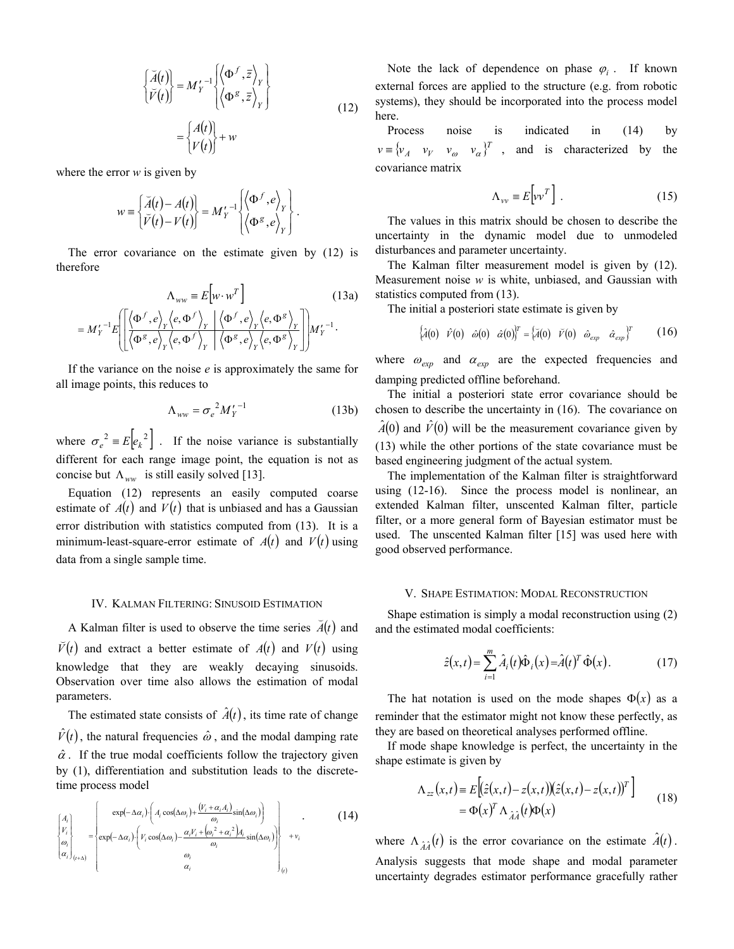$$
\begin{aligned}\n\left\{\begin{aligned}\n\breve{A}(t) \\
\breve{V}(t)\n\end{aligned}\right\} &= M_Y'^{-1} \begin{cases}\n\left\langle \Phi^f, \bar{z} \right\rangle_Y \\
\left\langle \Phi^g, \bar{z} \right\rangle_Y\n\end{cases} \\
&= \begin{cases}\nA(t) \\
V(t)\n\end{cases} + w\n\end{aligned} \tag{12}
$$

where the error *w* is given by

$$
w = \begin{Bmatrix} \breve{A}(t) - A(t) \\ \breve{V}(t) - V(t) \end{Bmatrix} = M_Y^{-1} \begin{Bmatrix} \langle \Phi^f, e \rangle_Y \\ \langle \Phi^g, e \rangle_Y \end{Bmatrix}.
$$

The error covariance on the estimate given by (12) is therefore

$$
\Lambda_{ww} = E\left[w \cdot w^T\right] \tag{13a}
$$
\n
$$
= M_Y'^{-1} E\left[\left\langle \frac{\langle \Phi^f, e \rangle_Y \langle e, \Phi^f \rangle_Y \mid \langle \Phi^f, e \rangle_Y \langle e, \Phi^g \rangle_Y}{\langle \Phi^g, e \rangle_Y \langle e, \Phi^f \rangle_Y \mid \langle \Phi^g, e \rangle_Y \langle e, \Phi^g \rangle_Y}\right]\right] M_Y'^{-1}.
$$

If the variance on the noise *e* is approximately the same for all image points, this reduces to

$$
\Lambda_{ww} = \sigma_e^2 M_Y^{\prime -1}
$$
 (13b)

where  $\sigma_e^2 = E \left| e_k^2 \right|$ . If the noise variance is substantially different for each range image point, the equation is not as concise but  $\Lambda_{ww}$  is still easily solved [13].

Equation (12) represents an easily computed coarse estimate of  $A(t)$  and  $V(t)$  that is unbiased and has a Gaussian error distribution with statistics computed from (13). It is a minimum-least-square-error estimate of  $A(t)$  and  $V(t)$  using data from a single sample time.

#### IV. KALMAN FILTERING: SINUSOID ESTIMATION

A Kalman filter is used to observe the time series  $\vec{A}(t)$  and  $\tilde{V}(t)$  and extract a better estimate of *A*(*t*) and *V*(*t*) using knowledge that they are weakly decaying sinusoids. Observation over time also allows the estimation of modal parameters.

The estimated state consists of  $\hat{A}(t)$ , its time rate of change  $\hat{V}(t)$ , the natural frequencies  $\hat{\omega}$ , and the modal damping rate  $\hat{\alpha}$ . If the true modal coefficients follow the trajectory given by (1), differentiation and substitution leads to the discretetime process model

$$
\begin{cases}\nA_i \\
V_i \\
\omega_i \\
\omega_i\n\end{cases} = \begin{cases}\n\exp(-\Delta \alpha_i) \cdot \left(A_i \cos(\Delta \omega_i) + \frac{(V_i + \alpha_i A_i)}{\omega_i} \sin(\Delta \omega_i)\right) \\
\exp(-\Delta \alpha_i) \cdot \left(V_i \cos(\Delta \omega_i) - \frac{\alpha_i V_i + (\omega_i^2 + \alpha_i^2) A_i}{\omega_i} \sin(\Delta \omega_i)\right) \\
\omega_i \\
\omega_i\n\end{cases} + v_i
$$
\n(14)

Note the lack of dependence on phase  $\varphi_i$ . If known external forces are applied to the structure (e.g. from robotic systems), they should be incorporated into the process model here.

Process noise is indicated in (14) by  $v \equiv \begin{cases} v_A & v_V \quad v_\omega & v_\alpha \end{cases}$ <sup>T</sup>, and is characterized by the covariance matrix

$$
\Lambda_{vv} \equiv E \Big[ v v^T \Big] \ . \tag{15}
$$

The values in this matrix should be chosen to describe the uncertainty in the dynamic model due to unmodeled disturbances and parameter uncertainty.

The Kalman filter measurement model is given by (12). Measurement noise *w* is white, unbiased, and Gaussian with statistics computed from (13).

The initial a posteriori state estimate is given by

$$
\begin{cases}\n\hat{A}(0) & \hat{v}(0) & \hat{\omega}(0) & \hat{\alpha}(0)\n\end{cases}\n\begin{cases}\n\hat{a}(0) & \tilde{v}(0) & \hat{\omega}_{\text{exp}} & \hat{\alpha}_{\text{exp}}\n\end{cases}\n\begin{cases}\n\hat{a}(0) & \hat{v}(0) & \hat{v}(0) \\
\hat{v}(0) & \hat{v}(0)\n\end{cases}
$$

where  $\omega_{exp}$  and  $\alpha_{exp}$  are the expected frequencies and damping predicted offline beforehand.

The initial a posteriori state error covariance should be chosen to describe the uncertainty in (16). The covariance on  $\hat{A}(0)$  and  $\hat{V}(0)$  will be the measurement covariance given by (13) while the other portions of the state covariance must be based engineering judgment of the actual system.

The implementation of the Kalman filter is straightforward using (12-16). Since the process model is nonlinear, an extended Kalman filter, unscented Kalman filter, particle filter, or a more general form of Bayesian estimator must be used. The unscented Kalman filter [15] was used here with good observed performance.

## V. SHAPE ESTIMATION: MODAL RECONSTRUCTION

Shape estimation is simply a modal reconstruction using (2) and the estimated modal coefficients:

$$
\hat{z}(x,t) = \sum_{i=1}^{m} \hat{A}_i(t)\hat{\Phi}_i(x) = \hat{A}(t)^T \hat{\Phi}(x).
$$
 (17)

The hat notation is used on the mode shapes  $\Phi(x)$  as a reminder that the estimator might not know these perfectly, as they are based on theoretical analyses performed offline.

If mode shape knowledge is perfect, the uncertainty in the shape estimate is given by

$$
\Lambda_{zz}(x,t) = E\Big[\Big(\hat{z}(x,t) - z(x,t)\Big)\Big(\hat{z}(x,t) - z(x,t)\Big)^T\Big] \n= \Phi(x)^T \Lambda_{\hat{A}\hat{A}}(t)\Phi(x)
$$
\n(18)

where  $\Lambda_{\hat{A}\hat{A}}(t)$  is the error covariance on the estimate  $\hat{A}(t)$ . Analysis suggests that mode shape and modal parameter uncertainty degrades estimator performance gracefully rather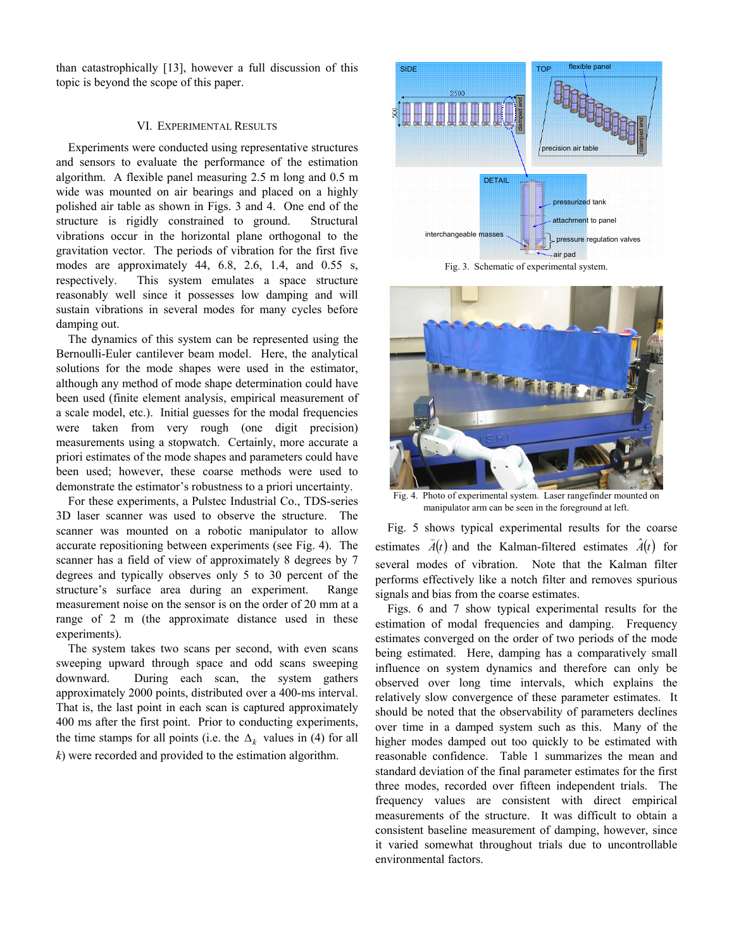than catastrophically [13], however a full discussion of this topic is beyond the scope of this paper.

## VI. EXPERIMENTAL RESULTS

Experiments were conducted using representative structures and sensors to evaluate the performance of the estimation algorithm. A flexible panel measuring 2.5 m long and 0.5 m wide was mounted on air bearings and placed on a highly polished air table as shown in Figs. 3 and 4. One end of the structure is rigidly constrained to ground. Structural vibrations occur in the horizontal plane orthogonal to the gravitation vector. The periods of vibration for the first five modes are approximately 44, 6.8, 2.6, 1.4, and 0.55 s, respectively. This system emulates a space structure reasonably well since it possesses low damping and will sustain vibrations in several modes for many cycles before damping out.

The dynamics of this system can be represented using the Bernoulli-Euler cantilever beam model. Here, the analytical solutions for the mode shapes were used in the estimator, although any method of mode shape determination could have been used (finite element analysis, empirical measurement of a scale model, etc.). Initial guesses for the modal frequencies were taken from very rough (one digit precision) measurements using a stopwatch. Certainly, more accurate a priori estimates of the mode shapes and parameters could have been used; however, these coarse methods were used to demonstrate the estimator's robustness to a priori uncertainty.

For these experiments, a Pulstec Industrial Co., TDS-series 3D laser scanner was used to observe the structure. The scanner was mounted on a robotic manipulator to allow accurate repositioning between experiments (see Fig. 4). The scanner has a field of view of approximately 8 degrees by 7 degrees and typically observes only 5 to 30 percent of the structure's surface area during an experiment. Range measurement noise on the sensor is on the order of 20 mm at a range of 2 m (the approximate distance used in these experiments).

The system takes two scans per second, with even scans sweeping upward through space and odd scans sweeping downward. During each scan, the system gathers approximately 2000 points, distributed over a 400-ms interval. That is, the last point in each scan is captured approximately 400 ms after the first point. Prior to conducting experiments, the time stamps for all points (i.e. the  $\Delta_k$  values in (4) for all *k*) were recorded and provided to the estimation algorithm.



Fig. 3. Schematic of experimental system.



Fig. 4. Photo of experimental system. Laser rangefinder mounted on manipulator arm can be seen in the foreground at left.

Fig. 5 shows typical experimental results for the coarse estimates  $\tilde{A}(t)$  and the Kalman-filtered estimates  $\hat{A}(t)$  for several modes of vibration. Note that the Kalman filter performs effectively like a notch filter and removes spurious signals and bias from the coarse estimates.

Figs. 6 and 7 show typical experimental results for the estimation of modal frequencies and damping. Frequency estimates converged on the order of two periods of the mode being estimated. Here, damping has a comparatively small influence on system dynamics and therefore can only be observed over long time intervals, which explains the relatively slow convergence of these parameter estimates. It should be noted that the observability of parameters declines over time in a damped system such as this. Many of the higher modes damped out too quickly to be estimated with reasonable confidence. Table 1 summarizes the mean and standard deviation of the final parameter estimates for the first three modes, recorded over fifteen independent trials. The frequency values are consistent with direct empirical measurements of the structure. It was difficult to obtain a consistent baseline measurement of damping, however, since it varied somewhat throughout trials due to uncontrollable environmental factors.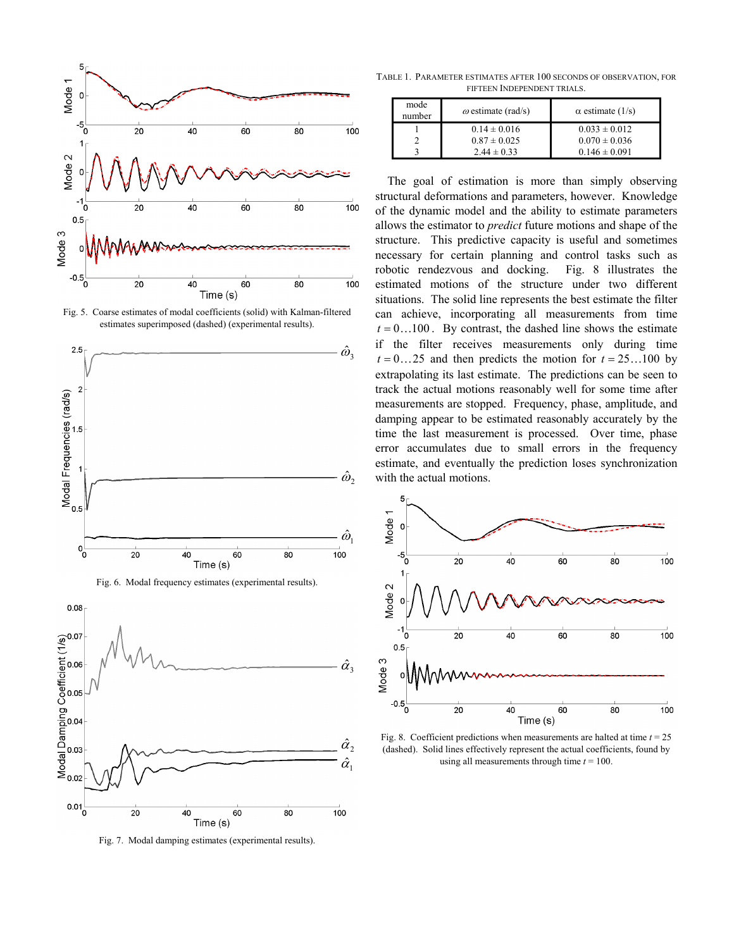

Fig. 5. Coarse estimates of modal coefficients (solid) with Kalman-filtered estimates superimposed (dashed) (experimental results).





Fig. 7. Modal damping estimates (experimental results).

TABLE 1. PARAMETER ESTIMATES AFTER 100 SECONDS OF OBSERVATION, FOR FIFTEEN INDEPENDENT TRIALS.

| mode<br>number | $\omega$ estimate (rad/s) | $\alpha$ estimate (1/s) |
|----------------|---------------------------|-------------------------|
|                | $0.14 \pm 0.016$          | $0.033 \pm 0.012$       |
|                | $0.87 \pm 0.025$          | $0.070 \pm 0.036$       |
|                | $2.44 \pm 0.33$           | $0.146 \pm 0.091$       |

The goal of estimation is more than simply observing structural deformations and parameters, however. Knowledge of the dynamic model and the ability to estimate parameters allows the estimator to *predict* future motions and shape of the structure. This predictive capacity is useful and sometimes necessary for certain planning and control tasks such as robotic rendezvous and docking. Fig. 8 illustrates the estimated motions of the structure under two different situations. The solid line represents the best estimate the filter can achieve, incorporating all measurements from time  $t = 0$ ...100. By contrast, the dashed line shows the estimate if the filter receives measurements only during time  $t = 0...25$  and then predicts the motion for  $t = 25...100$  by extrapolating its last estimate. The predictions can be seen to track the actual motions reasonably well for some time after measurements are stopped. Frequency, phase, amplitude, and damping appear to be estimated reasonably accurately by the time the last measurement is processed. Over time, phase error accumulates due to small errors in the frequency estimate, and eventually the prediction loses synchronization with the actual motions.



Fig. 8. Coefficient predictions when measurements are halted at time  $t = 25$ (dashed). Solid lines effectively represent the actual coefficients, found by using all measurements through time *t* = 100.